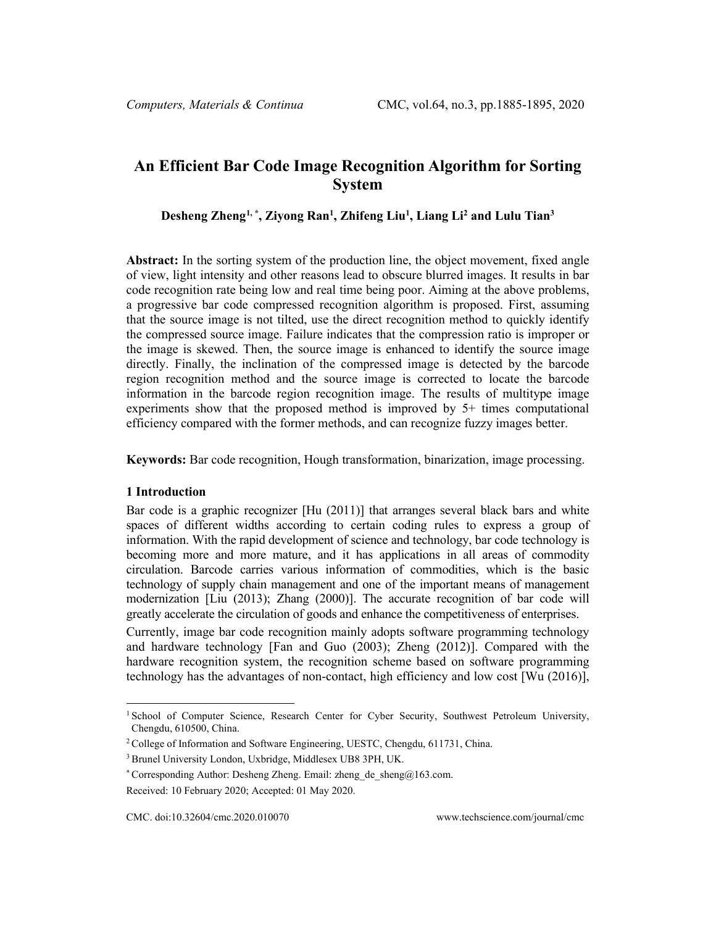# **An Efficient Bar Code Image Recognition Algorithm for Sorting System**

**Desheng Zheng[1](#page-0-0), \*, Ziyong Ran1 , Zhifeng Liu1 , Liang Li2 and Lulu Tian3**

**Abstract:** In the sorting system of the production line, the object movement, fixed angle of view, light intensity and other reasons lead to obscure blurred images. It results in bar code recognition rate being low and real time being poor. Aiming at the above problems, a progressive bar code compressed recognition algorithm is proposed. First, assuming that the source image is not tilted, use the direct recognition method to quickly identify the compressed source image. Failure indicates that the compression ratio is improper or the image is skewed. Then, the source image is enhanced to identify the source image directly. Finally, the inclination of the compressed image is detected by the barcode region recognition method and the source image is corrected to locate the barcode information in the barcode region recognition image. The results of multitype image experiments show that the proposed method is improved by 5+ times computational efficiency compared with the former methods, and can recognize fuzzy images better.

**Keywords:** Bar code recognition, Hough transformation, binarization, image processing.

## **1 Introduction**

Bar code is a graphic recognizer [Hu (2011)] that arranges several black bars and white spaces of different widths according to certain coding rules to express a group of information. With the rapid development of science and technology, bar code technology is becoming more and more mature, and it has applications in all areas of commodity circulation. Barcode carries various information of commodities, which is the basic technology of supply chain management and one of the important means of management modernization [Liu (2013); Zhang (2000)]. The accurate recognition of bar code will greatly accelerate the circulation of goods and enhance the competitiveness of enterprises.

Currently, image bar code recognition mainly adopts software programming technology and hardware technology [Fan and Guo (2003); Zheng (2012)]. Compared with the hardware recognition system, the recognition scheme based on software programming technology has the advantages of non-contact, high efficiency and low cost [Wu (2016)],

<span id="page-0-0"></span><sup>&</sup>lt;sup>1</sup> School of Computer Science, Research Center for Cyber Security, Southwest Petroleum University, Chengdu, 610500, China.

<sup>&</sup>lt;sup>2</sup> College of Information and Software Engineering, UESTC, Chengdu, 611731, China.

<sup>3</sup> Brunel University London, Uxbridge, Middlesex UB8 3PH, UK.

<sup>\*</sup> Corresponding Author: Desheng Zheng. Email: zheng de sheng $@163$ .com.

Received: 10 February 2020; Accepted: 01 May 2020.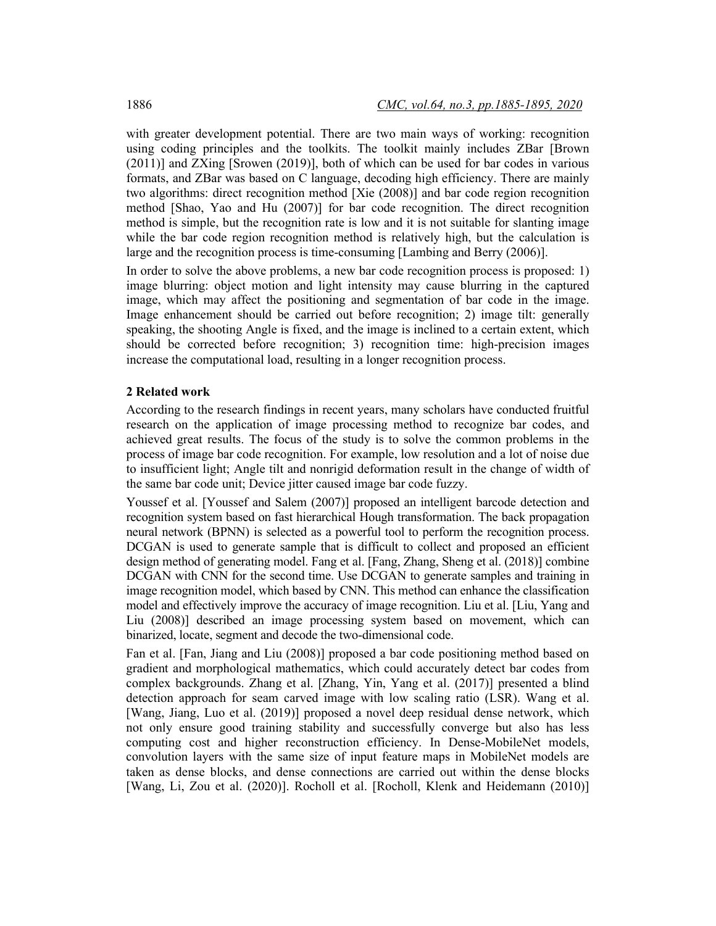with greater development potential. There are two main ways of working: recognition using coding principles and the toolkits. The toolkit mainly includes ZBar [Brown (2011)] and ZXing [Srowen (2019)], both of which can be used for bar codes in various formats, and ZBar was based on C language, decoding high efficiency. There are mainly two algorithms: direct recognition method [Xie (2008)] and bar code region recognition method [Shao, Yao and Hu (2007)] for bar code recognition. The direct recognition method is simple, but the recognition rate is low and it is not suitable for slanting image while the bar code region recognition method is relatively high, but the calculation is large and the recognition process is time-consuming [Lambing and Berry (2006)].

In order to solve the above problems, a new bar code recognition process is proposed: 1) image blurring: object motion and light intensity may cause blurring in the captured image, which may affect the positioning and segmentation of bar code in the image. Image enhancement should be carried out before recognition; 2) image tilt: generally speaking, the shooting Angle is fixed, and the image is inclined to a certain extent, which should be corrected before recognition; 3) recognition time: high-precision images increase the computational load, resulting in a longer recognition process.

## **2 Related work**

According to the research findings in recent years, many scholars have conducted fruitful research on the application of image processing method to recognize bar codes, and achieved great results. The focus of the study is to solve the common problems in the process of image bar code recognition. For example, low resolution and a lot of noise due to insufficient light; Angle tilt and nonrigid deformation result in the change of width of the same bar code unit; Device jitter caused image bar code fuzzy.

Youssef et al. [Youssef and Salem (2007)] proposed an intelligent barcode detection and recognition system based on fast hierarchical Hough transformation. The back propagation neural network (BPNN) is selected as a powerful tool to perform the recognition process. DCGAN is used to generate sample that is difficult to collect and proposed an efficient design method of generating model. Fang et al. [Fang, Zhang, Sheng et al. (2018)] combine DCGAN with CNN for the second time. Use DCGAN to generate samples and training in image recognition model, which based by CNN. This method can enhance the classification model and effectively improve the accuracy of image recognition. Liu et al. [Liu, Yang and Liu (2008)] described an image processing system based on movement, which can binarized, locate, segment and decode the two-dimensional code.

Fan et al. [Fan, Jiang and Liu (2008)] proposed a bar code positioning method based on gradient and morphological mathematics, which could accurately detect bar codes from complex backgrounds. Zhang et al. [Zhang, Yin, Yang et al. (2017)] presented a blind detection approach for seam carved image with low scaling ratio (LSR). Wang et al. [Wang, Jiang, Luo et al. (2019)] proposed a novel deep residual dense network, which not only ensure good training stability and successfully converge but also has less computing cost and higher reconstruction efficiency. In Dense-MobileNet models, convolution layers with the same size of input feature maps in MobileNet models are taken as dense blocks, and dense connections are carried out within the dense blocks [Wang, Li, Zou et al. (2020)]. Rocholl et al. [Rocholl, Klenk and Heidemann (2010)]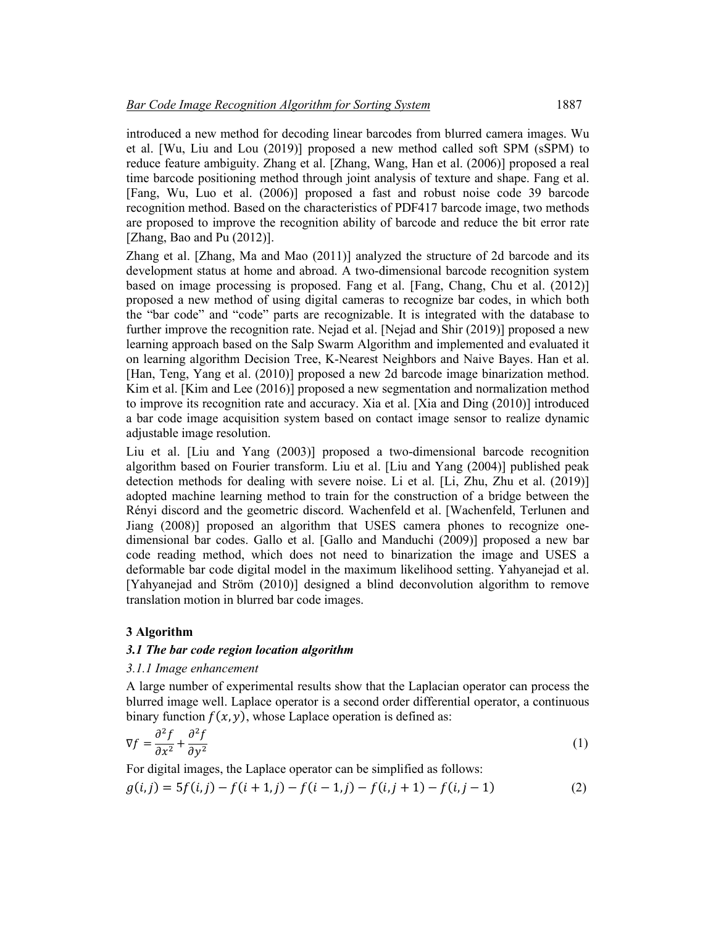introduced a new method for decoding linear barcodes from blurred camera images. Wu et al. [Wu, Liu and Lou (2019)] proposed a new method called soft SPM (sSPM) to reduce feature ambiguity. Zhang et al. [Zhang, Wang, Han et al. (2006)] proposed a real time barcode positioning method through joint analysis of texture and shape. Fang et al. [Fang, Wu, Luo et al. (2006)] proposed a fast and robust noise code 39 barcode recognition method. Based on the characteristics of PDF417 barcode image, two methods are proposed to improve the recognition ability of barcode and reduce the bit error rate [Zhang, Bao and Pu (2012)].

Zhang et al. [Zhang, Ma and Mao (2011)] analyzed the structure of 2d barcode and its development status at home and abroad. A two-dimensional barcode recognition system based on image processing is proposed. Fang et al. [Fang, Chang, Chu et al. (2012)] proposed a new method of using digital cameras to recognize bar codes, in which both the "bar code" and "code" parts are recognizable. It is integrated with the database to further improve the recognition rate. Nejad et al. [Nejad and Shir (2019)] proposed a new learning approach based on the Salp Swarm Algorithm and implemented and evaluated it on learning algorithm Decision Tree, K-Nearest Neighbors and Naive Bayes. Han et al. [Han, Teng, Yang et al. (2010)] proposed a new 2d barcode image binarization method. Kim et al. [Kim and Lee (2016)] proposed a new segmentation and normalization method to improve its recognition rate and accuracy. Xia et al. [Xia and Ding (2010)] introduced a bar code image acquisition system based on contact image sensor to realize dynamic adjustable image resolution.

Liu et al. [Liu and Yang (2003)] proposed a two-dimensional barcode recognition algorithm based on Fourier transform. Liu et al. [Liu and Yang (2004)] published peak detection methods for dealing with severe noise. Li et al. [Li, Zhu, Zhu et al. (2019)] adopted machine learning method to train for the construction of a bridge between the Rényi discord and the geometric discord. Wachenfeld et al. [Wachenfeld, Terlunen and Jiang (2008)] proposed an algorithm that USES camera phones to recognize onedimensional bar codes. Gallo et al. [Gallo and Manduchi (2009)] proposed a new bar code reading method, which does not need to binarization the image and USES a deformable bar code digital model in the maximum likelihood setting. Yahyanejad et al. [Yahyanejad and Ström (2010)] designed a blind deconvolution algorithm to remove translation motion in blurred bar code images.

## **3 Algorithm**

## *3.1 The bar code region location algorithm*

### *3.1.1 Image enhancement*

A large number of experimental results show that the Laplacian operator can process the blurred image well. Laplace operator is a second order differential operator, a continuous binary function  $f(x, y)$ , whose Laplace operation is defined as:

$$
\nabla f = \frac{\partial^2 f}{\partial x^2} + \frac{\partial^2 f}{\partial y^2}
$$
 (1)

For digital images, the Laplace operator can be simplified as follows:

$$
g(i,j) = 5f(i,j) - f(i+1,j) - f(i-1,j) - f(i,j+1) - f(i,j-1)
$$
\n(2)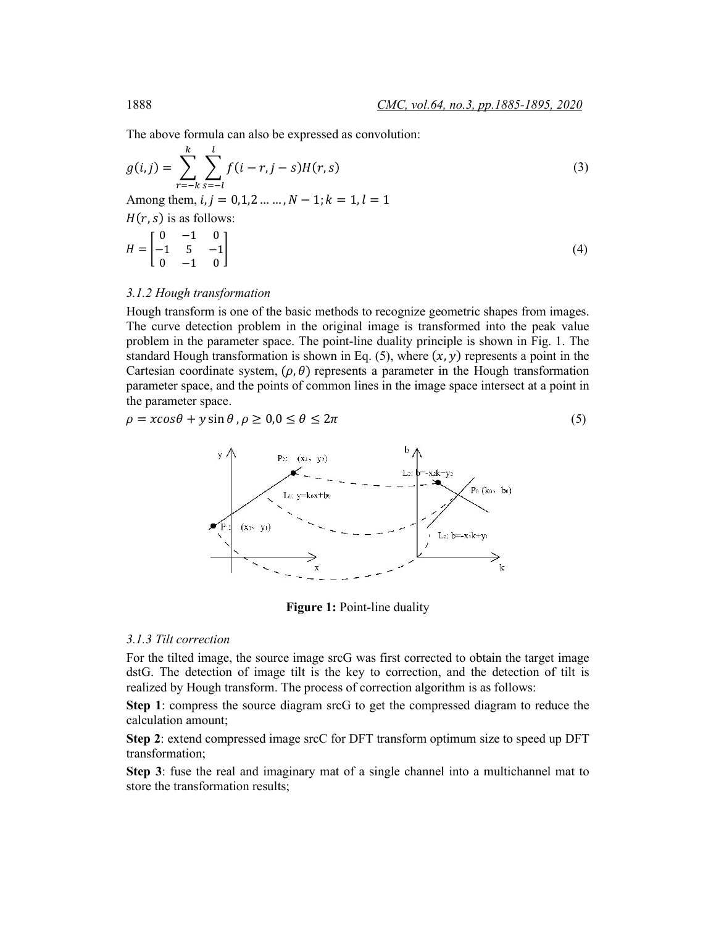The above formula can also be expressed as convolution:

$$
g(i,j) = \sum_{r=-k}^{k} \sum_{s=-l}^{l} f(i-r, j-s)H(r, s)
$$
 (3)

Among them,  $i, j = 0, 1, 2, ..., N - 1$ ;  $k = 1, l = 1$ 

(, ) is as follows:

$$
H = \begin{bmatrix} 0 & -1 & 0 \\ -1 & 5 & -1 \\ 0 & -1 & 0 \end{bmatrix}
$$
 (4)

## *3.1.2 Hough transformation*

Hough transform is one of the basic methods to recognize geometric shapes from images. The curve detection problem in the original image is transformed into the peak value problem in the parameter space. The point-line duality principle is shown in Fig. 1. The standard Hough transformation is shown in Eq. (5), where  $(x, y)$  represents a point in the Cartesian coordinate system,  $(\rho, \theta)$  represents a parameter in the Hough transformation parameter space, and the points of common lines in the image space intersect at a point in the parameter space.

$$
\rho = x\cos\theta + y\sin\theta, \rho \ge 0, 0 \le \theta \le 2\pi
$$
\n<sup>(5)</sup>



**Figure 1:** Point-line duality

## *3.1.3 Tilt correction*

For the tilted image, the source image srcG was first corrected to obtain the target image dstG. The detection of image tilt is the key to correction, and the detection of tilt is realized by Hough transform. The process of correction algorithm is as follows:

**Step 1**: compress the source diagram srcG to get the compressed diagram to reduce the calculation amount;

**Step 2**: extend compressed image srcC for DFT transform optimum size to speed up DFT transformation;

**Step 3**: fuse the real and imaginary mat of a single channel into a multichannel mat to store the transformation results;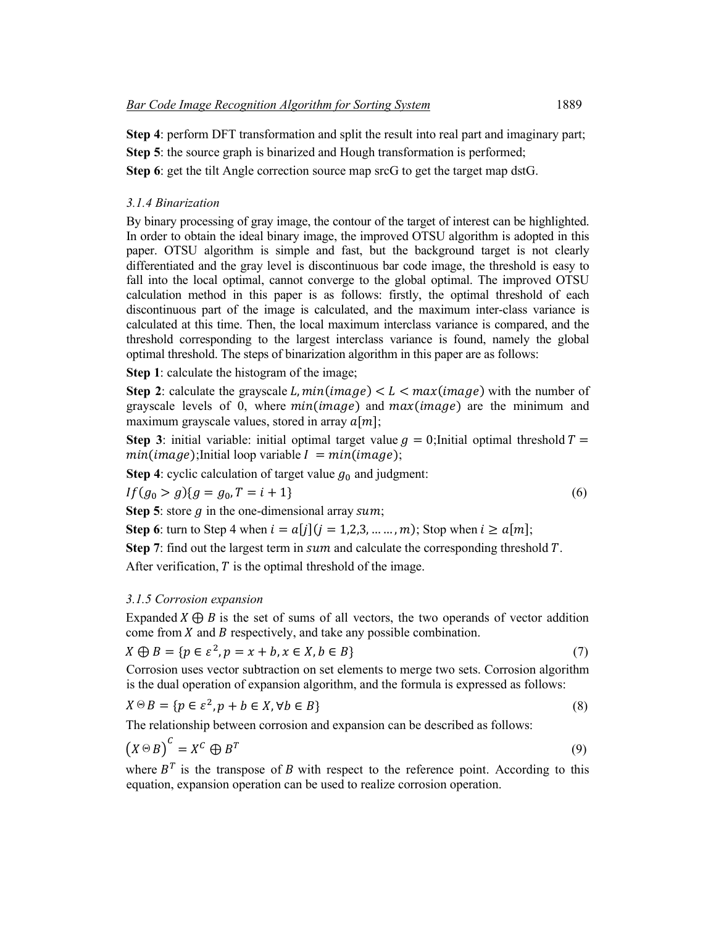**Step 4**: perform DFT transformation and split the result into real part and imaginary part;

**Step 5**: the source graph is binarized and Hough transformation is performed;

**Step 6**: get the tilt Angle correction source map srcG to get the target map dstG.

## *3.1.4 Binarization*

By binary processing of gray image, the contour of the target of interest can be highlighted. In order to obtain the ideal binary image, the improved OTSU algorithm is adopted in this paper. OTSU algorithm is simple and fast, but the background target is not clearly differentiated and the gray level is discontinuous bar code image, the threshold is easy to fall into the local optimal, cannot converge to the global optimal. The improved OTSU calculation method in this paper is as follows: firstly, the optimal threshold of each discontinuous part of the image is calculated, and the maximum inter-class variance is calculated at this time. Then, the local maximum interclass variance is compared, and the threshold corresponding to the largest interclass variance is found, namely the global optimal threshold. The steps of binarization algorithm in this paper are as follows:

**Step 1**: calculate the histogram of the image;

**Step 2**: calculate the grayscale L,  $min(image) < L < max(image)$  with the number of grayscale levels of 0, where  $min(\text{image})$  and  $max(\text{image})$  are the minimum and maximum grayscale values, stored in array  $a[m]$ ;

**Step 3**: initial variable: initial optimal target value  $q = 0$ ; Initial optimal threshold  $T =$  $min(image)$ ;Initial loop variable  $I = min(image)$ ;

**Step 4**: cyclic calculation of target value  $g_0$  and judgment:

$$
If (g_0 > g) \{g = g_0, T = i + 1\} \tag{6}
$$

**Step 5**: store  $q$  in the one-dimensional array  $sum$ ;

**Step 6**: turn to Step 4 when  $i = a[j](j = 1,2,3,..., m)$ ; Stop when  $i \ge a[m]$ ;

**Step 7**: find out the largest term in  $sum$  and calculate the corresponding threshold  $T$ .

After verification,  $T$  is the optimal threshold of the image.

## *3.1.5 Corrosion expansion*

Expanded  $X \oplus B$  is the set of sums of all vectors, the two operands of vector addition come from  $X$  and  $B$  respectively, and take any possible combination.

$$
X \oplus B = \{ p \in \varepsilon^2, p = x + b, x \in X, b \in B \}
$$
\n<sup>(7)</sup>

Corrosion uses vector subtraction on set elements to merge two sets. Corrosion algorithm is the dual operation of expansion algorithm, and the formula is expressed as follows:

$$
X \odot B = \{ p \in \varepsilon^2, p + b \in X, \forall b \in B \}
$$
\n
$$
(8)
$$

The relationship between corrosion and expansion can be described as follows:

$$
(X \odot B)^{C} = X^{C} \oplus B^{T}
$$
\n(9)

where  $B<sup>T</sup>$  is the transpose of B with respect to the reference point. According to this equation, expansion operation can be used to realize corrosion operation.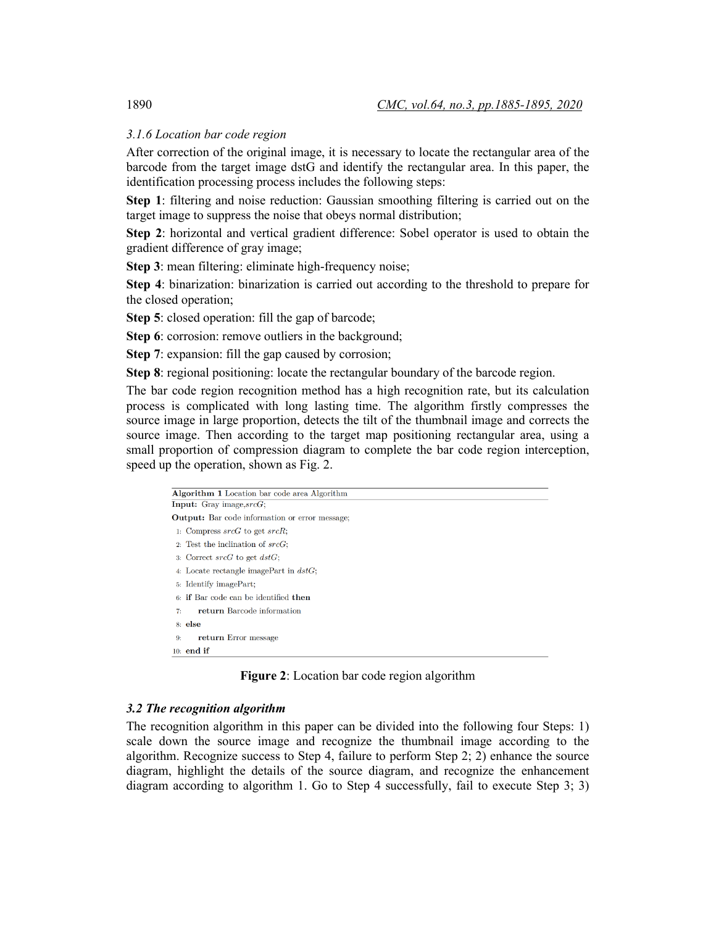# *3.1.6 Location bar code region*

After correction of the original image, it is necessary to locate the rectangular area of the barcode from the target image dstG and identify the rectangular area. In this paper, the identification processing process includes the following steps:

**Step 1**: filtering and noise reduction: Gaussian smoothing filtering is carried out on the target image to suppress the noise that obeys normal distribution;

**Step 2**: horizontal and vertical gradient difference: Sobel operator is used to obtain the gradient difference of gray image;

**Step 3**: mean filtering: eliminate high-frequency noise;

**Step 4**: binarization: binarization is carried out according to the threshold to prepare for the closed operation;

**Step 5**: closed operation: fill the gap of barcode;

**Step 6**: corrosion: remove outliers in the background;

**Step 7**: expansion: fill the gap caused by corrosion;

**Step 8**: regional positioning: locate the rectangular boundary of the barcode region.

The bar code region recognition method has a high recognition rate, but its calculation process is complicated with long lasting time. The algorithm firstly compresses the source image in large proportion, detects the tilt of the thumbnail image and corrects the source image. Then according to the target map positioning rectangular area, using a small proportion of compression diagram to complete the bar code region interception, speed up the operation, shown as Fig. 2.

| <b>Algorithm 1</b> Location bar code area Algorithm   |
|-------------------------------------------------------|
| <b>Input:</b> Gray image, $srcG$ ;                    |
| <b>Output:</b> Bar code information or error message; |
| 1: Compress $srcG$ to get $srcR$ ;                    |
| 2. Test the inclination of $srcG$ ;                   |
| 3: Correct $srcG$ to get $dstG$ ;                     |
| 4: Locate rectangle imagePart in $dstG$ ;             |
| 5: Identify imagePart;                                |
| 6: if Bar code can be identified then                 |
| return Barcode information<br>7:                      |
| $8:$ else                                             |
| return Error message<br>9:                            |
| $10:$ end if                                          |

**Figure 2**: Location bar code region algorithm

# *3.2 The recognition algorithm*

The recognition algorithm in this paper can be divided into the following four Steps: 1) scale down the source image and recognize the thumbnail image according to the algorithm. Recognize success to Step 4, failure to perform Step 2; 2) enhance the source diagram, highlight the details of the source diagram, and recognize the enhancement diagram according to algorithm 1. Go to Step 4 successfully, fail to execute Step 3; 3)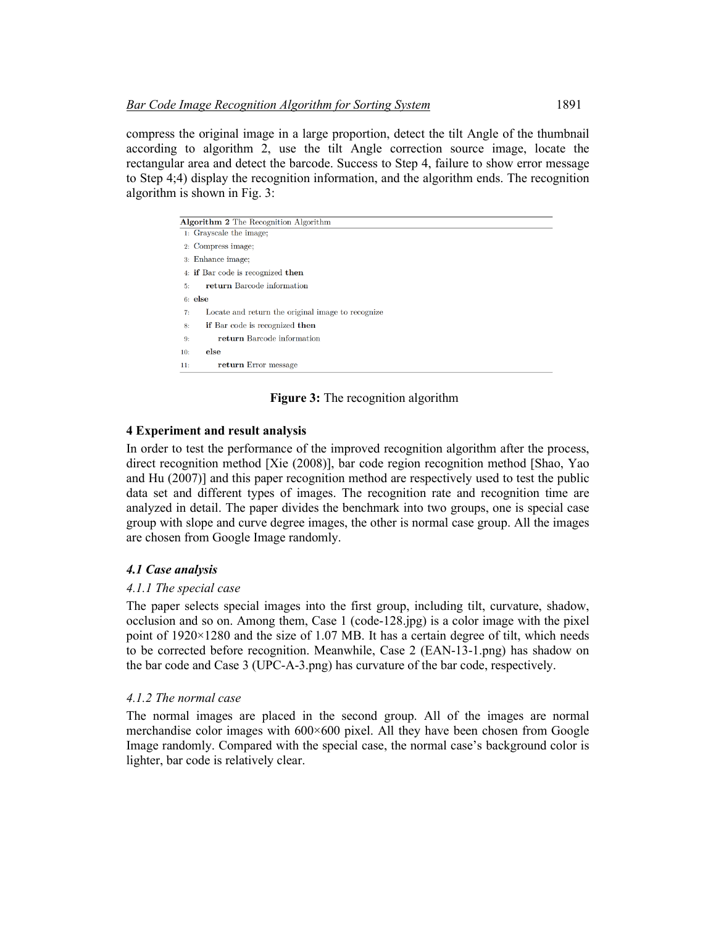compress the original image in a large proportion, detect the tilt Angle of the thumbnail according to algorithm 2, use the tilt Angle correction source image, locate the rectangular area and detect the barcode. Success to Step 4, failure to show error message to Step 4;4) display the recognition information, and the algorithm ends. The recognition algorithm is shown in Fig. 3:

| Algorithm 2 The Recognition Algorithm                   |
|---------------------------------------------------------|
| 1: Grayscale the image:                                 |
| 2. Compress image;                                      |
| 3: Enhance image:                                       |
| 4: if Bar code is recognized then                       |
| return Barcode information<br>5:                        |
| $6:$ else                                               |
| Locate and return the original image to recognize<br>7: |
| if Bar code is recognized then<br>8:                    |
| return Barcode information<br>9:                        |
| else<br>10:                                             |
| return Error message<br>11:                             |

**Figure 3:** The recognition algorithm

# **4 Experiment and result analysis**

In order to test the performance of the improved recognition algorithm after the process, direct recognition method [Xie (2008)], bar code region recognition method [Shao, Yao and Hu (2007)] and this paper recognition method are respectively used to test the public data set and different types of images. The recognition rate and recognition time are analyzed in detail. The paper divides the benchmark into two groups, one is special case group with slope and curve degree images, the other is normal case group. All the images are chosen from Google Image randomly.

# *4.1 Case analysis*

# *4.1.1 The special case*

The paper selects special images into the first group, including tilt, curvature, shadow, occlusion and so on. Among them, Case 1 (code-128.jpg) is a color image with the pixel point of 1920×1280 and the size of 1.07 MB. It has a certain degree of tilt, which needs to be corrected before recognition. Meanwhile, Case 2 (EAN-13-1.png) has shadow on the bar code and Case 3 (UPC-A-3.png) has curvature of the bar code, respectively.

# *4.1.2 The normal case*

The normal images are placed in the second group. All of the images are normal merchandise color images with 600×600 pixel. All they have been chosen from Google Image randomly. Compared with the special case, the normal case's background color is lighter, bar code is relatively clear.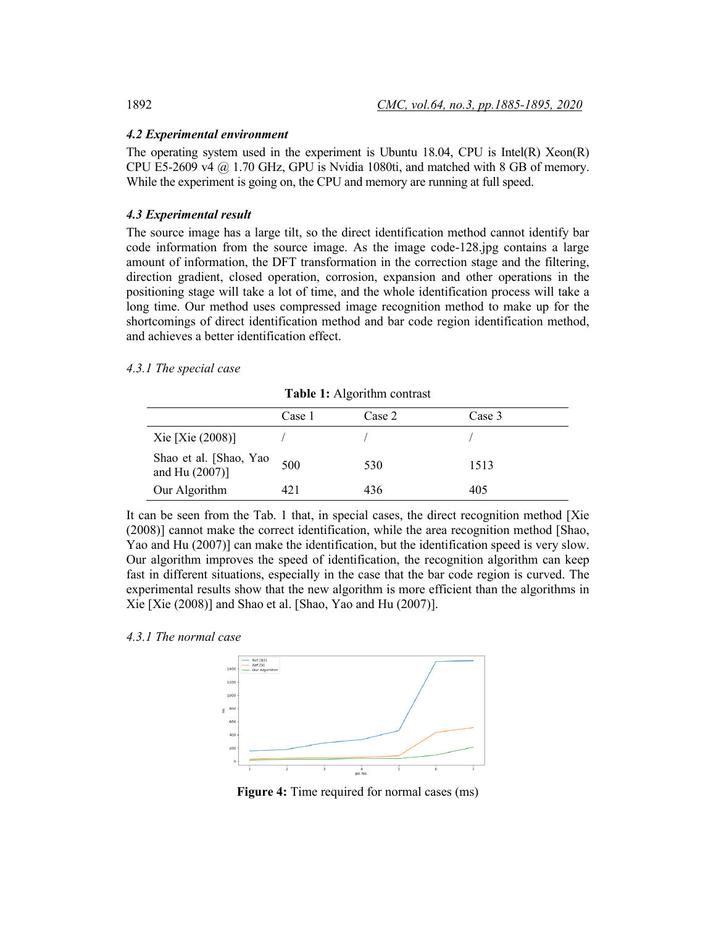## *4.2 Experimental environment*

The operating system used in the experiment is Ubuntu 18.04, CPU is Intel(R) Xeon(R) CPU E5-2609 v4  $@$  1.70 GHz, GPU is Nvidia 1080ti, and matched with 8 GB of memory. While the experiment is going on, the CPU and memory are running at full speed.

# *4.3 Experimental result*

The source image has a large tilt, so the direct identification method cannot identify bar code information from the source image. As the image code-128.jpg contains a large amount of information, the DFT transformation in the correction stage and the filtering, direction gradient, closed operation, corrosion, expansion and other operations in the positioning stage will take a lot of time, and the whole identification process will take a long time. Our method uses compressed image recognition method to make up for the shortcomings of direct identification method and bar code region identification method, and achieves a better identification effect.

## *4.3.1 The special case*

|                                          | Case 1 | Case 2 | Case 3 |  |
|------------------------------------------|--------|--------|--------|--|
| Xie $[Xie (2008)]$                       |        |        |        |  |
| Shao et al. [Shao, Yao<br>and Hu (2007)] | 500    | 530    | 1513   |  |
| Our Algorithm                            | 421    | 436    | 405    |  |

**Table 1:** Algorithm contrast

It can be seen from the Tab. 1 that, in special cases, the direct recognition method [Xie (2008)] cannot make the correct identification, while the area recognition method [Shao, Yao and Hu (2007)] can make the identification, but the identification speed is very slow. Our algorithm improves the speed of identification, the recognition algorithm can keep fast in different situations, especially in the case that the bar code region is curved. The experimental results show that the new algorithm is more efficient than the algorithms in Xie [Xie (2008)] and Shao et al. [Shao, Yao and Hu (2007)].

## *4.3.1 The normal case*



**Figure 4:** Time required for normal cases (ms)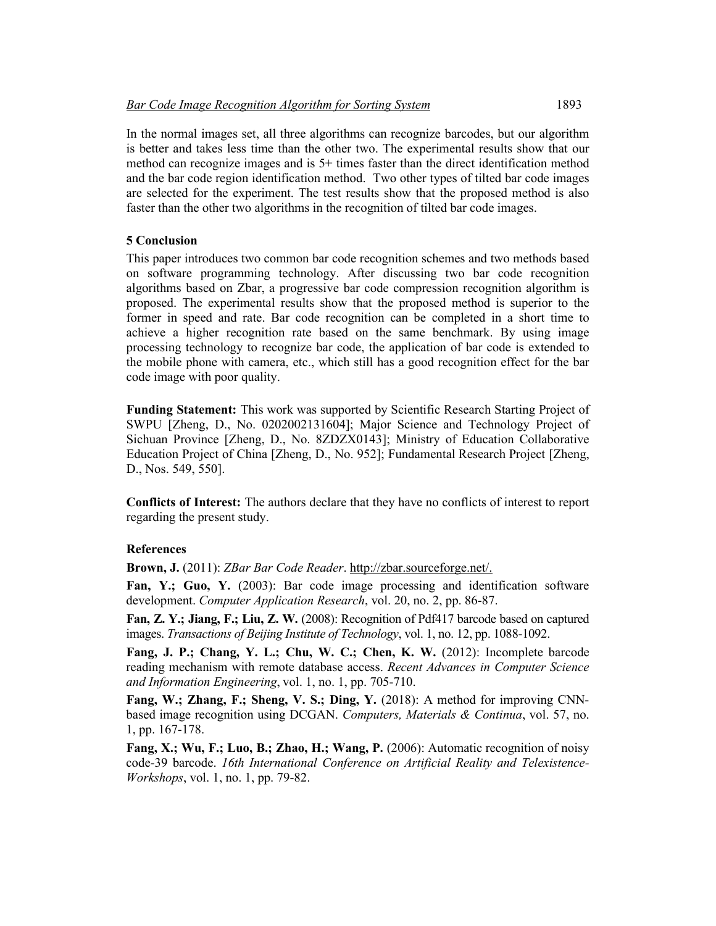In the normal images set, all three algorithms can recognize barcodes, but our algorithm is better and takes less time than the other two. The experimental results show that our method can recognize images and is 5+ times faster than the direct identification method and the bar code region identification method. Two other types of tilted bar code images are selected for the experiment. The test results show that the proposed method is also faster than the other two algorithms in the recognition of tilted bar code images.

## **5 Conclusion**

This paper introduces two common bar code recognition schemes and two methods based on software programming technology. After discussing two bar code recognition algorithms based on Zbar, a progressive bar code compression recognition algorithm is proposed. The experimental results show that the proposed method is superior to the former in speed and rate. Bar code recognition can be completed in a short time to achieve a higher recognition rate based on the same benchmark. By using image processing technology to recognize bar code, the application of bar code is extended to the mobile phone with camera, etc., which still has a good recognition effect for the bar code image with poor quality.

**Funding Statement:** This work was supported by Scientific Research Starting Project of SWPU [Zheng, D., No. 0202002131604]; Major Science and Technology Project of Sichuan Province [Zheng, D., No. 8ZDZX0143]; Ministry of Education Collaborative Education Project of China [Zheng, D., No. 952]; Fundamental Research Project [Zheng, D., Nos. 549, 550].

**Conflicts of Interest:** The authors declare that they have no conflicts of interest to report regarding the present study.

## **References**

**Brown, J.** (2011): *ZBar Bar Code Reader*. http://zbar.sourceforge.net/.

**Fan, Y.; Guo, Y.** (2003): Bar code image processing and identification software development. *Computer Application Research*, vol. 20, no. 2, pp. 86-87.

**Fan, Z. Y.; Jiang, F.; Liu, Z. W.** (2008): Recognition of Pdf417 barcode based on captured images. *Transactions of Beijing Institute of Technology*, vol. 1, no. 12, pp. 1088-1092.

**Fang, J. P.; Chang, Y. L.; Chu, W. C.; Chen, K. W.** (2012): Incomplete barcode reading mechanism with remote database access. *Recent Advances in Computer Science and Information Engineering*, vol. 1, no. 1, pp. 705-710.

**Fang, W.; Zhang, F.; Sheng, V. S.; Ding, Y.** (2018): A method for improving CNNbased image recognition using DCGAN. *Computers, Materials & Continua*, vol. 57, no. 1, pp. 167-178.

**Fang, X.; Wu, F.; Luo, B.; Zhao, H.; Wang, P.** (2006): Automatic recognition of noisy code-39 barcode. *16th International Conference on Artificial Reality and Telexistence-Workshops*, vol. 1, no. 1, pp. 79-82.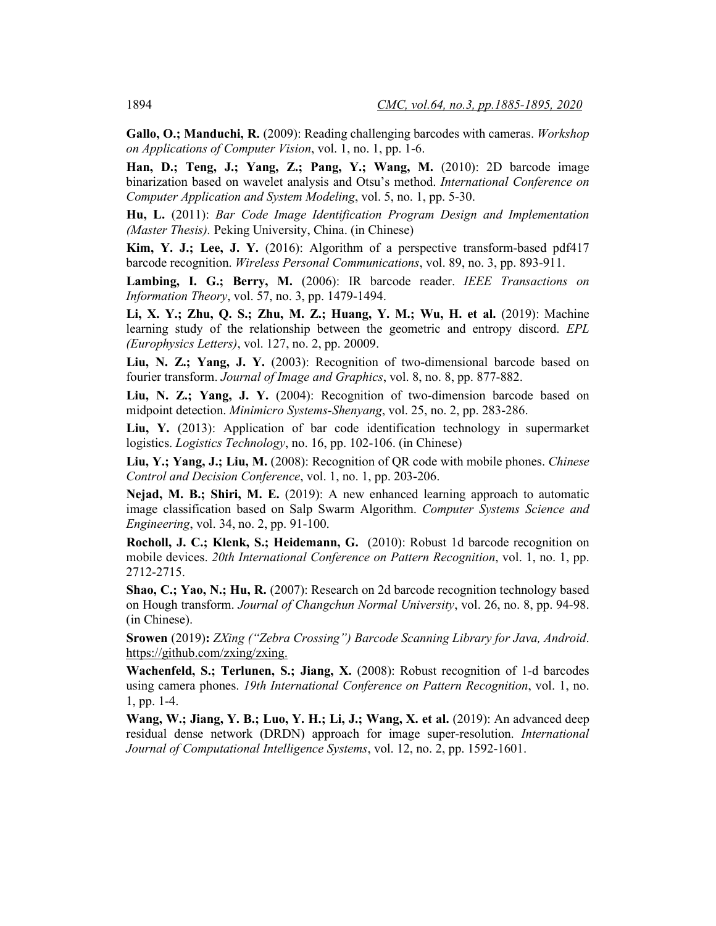**Gallo, O.; Manduchi, R.** (2009): Reading challenging barcodes with cameras. *Workshop on Applications of Computer Vision*, vol. 1, no. 1, pp. 1-6.

**Han, D.; Teng, J.; Yang, Z.; Pang, Y.; Wang, M.** (2010): 2D barcode image binarization based on wavelet analysis and Otsu's method. *International Conference on Computer Application and System Modeling*, vol. 5, no. 1, pp. 5-30.

**Hu, L.** (2011): *Bar Code Image Identification Program Design and Implementation (Master Thesis).* Peking University, China. (in Chinese)

**Kim, Y. J.; Lee, J. Y.** (2016): Algorithm of a perspective transform-based pdf417 barcode recognition. *Wireless Personal Communications*, vol. 89, no. 3, pp. 893-911.

**Lambing, I. G.; Berry, M.** (2006): IR barcode reader. *IEEE Transactions on Information Theory*, vol. 57, no. 3, pp. 1479-1494.

**Li, X. Y.; Zhu, Q. S.; Zhu, M. Z.; Huang, Y. M.; Wu, H. et al.** (2019): Machine learning study of the relationship between the geometric and entropy discord. *EPL (Europhysics Letters)*, vol. 127, no. 2, pp. 20009.

**Liu, N. Z.; Yang, J. Y.** (2003): Recognition of two-dimensional barcode based on fourier transform. *Journal of Image and Graphics*, vol. 8, no. 8, pp. 877-882.

**Liu, N. Z.; Yang, J. Y.** (2004): Recognition of two-dimension barcode based on midpoint detection. *Minimicro Systems-Shenyang*, vol. 25, no. 2, pp. 283-286.

**Liu, Y.** (2013): Application of bar code identification technology in supermarket logistics. *Logistics Technology*, no. 16, pp. 102-106. (in Chinese)

**Liu, Y.; Yang, J.; Liu, M.** (2008): Recognition of QR code with mobile phones. *Chinese Control and Decision Conference*, vol. 1, no. 1, pp. 203-206.

**Nejad, M. B.; Shiri, M. E.** (2019): A new enhanced learning approach to automatic image classification based on Salp Swarm Algorithm. *Computer Systems Science and Engineering*, vol. 34, no. 2, pp. 91-100.

**Rocholl, J. C.; Klenk, S.; Heidemann, G.** (2010): Robust 1d barcode recognition on mobile devices. *20th International Conference on Pattern Recognition*, vol. 1, no. 1, pp. 2712-2715.

**Shao, C.; Yao, N.; Hu, R.** (2007): Research on 2d barcode recognition technology based on Hough transform. *Journal of Changchun Normal University*, vol. 26, no. 8, pp. 94-98. (in Chinese).

**Srowen** (2019)**:** *ZXing ("Zebra Crossing") Barcode Scanning Library for Java, Android*. https://github.com/zxing/zxing.

**Wachenfeld, S.; Terlunen, S.; Jiang, X.** (2008): Robust recognition of 1-d barcodes using camera phones. *19th International Conference on Pattern Recognition*, vol. 1, no. 1, pp. 1-4.

**Wang, W.; Jiang, Y. B.; Luo, Y. H.; Li, J.; Wang, X. et al.** (2019): An advanced deep residual dense network (DRDN) approach for image super-resolution. *International Journal of Computational Intelligence Systems*, vol. 12, no. 2, pp. 1592-1601.